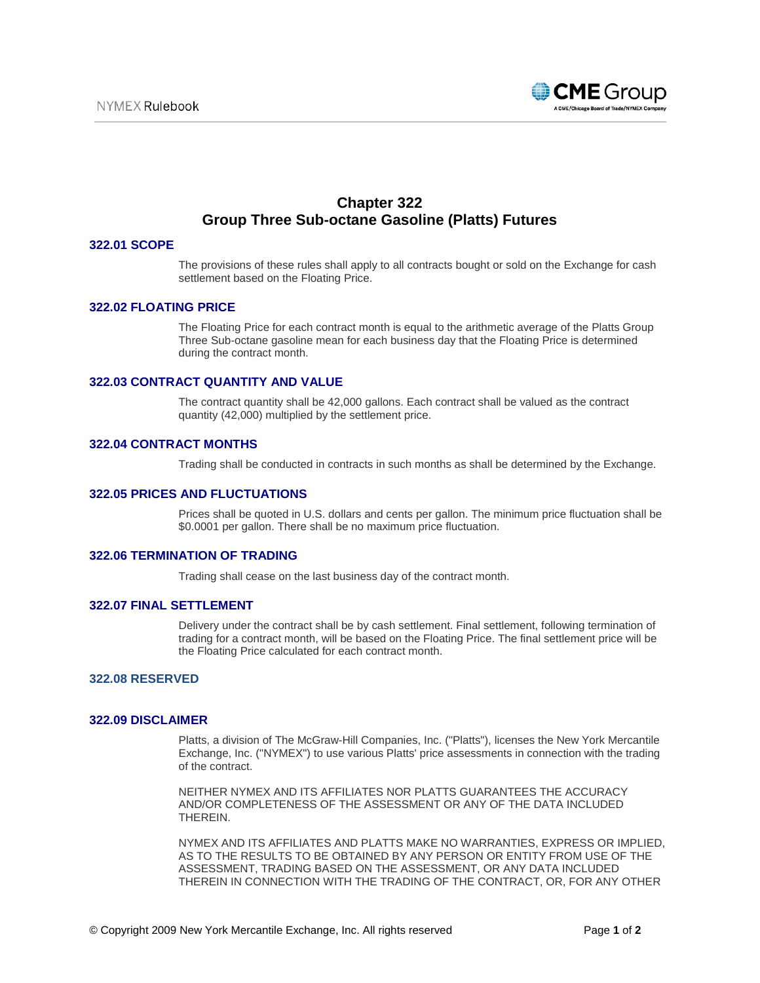

# **Chapter 322 Group Three Sub-octane Gasoline (Platts) Futures**

# **322.01 SCOPE**

The provisions of these rules shall apply to all contracts bought or sold on the Exchange for cash settlement based on the Floating Price.

## **322.02 FLOATING PRICE**

The Floating Price for each contract month is equal to the arithmetic average of the Platts Group Three Sub-octane gasoline mean for each business day that the Floating Price is determined during the contract month.

# **322.03 CONTRACT QUANTITY AND VALUE**

The contract quantity shall be 42,000 gallons. Each contract shall be valued as the contract quantity (42,000) multiplied by the settlement price.

## **322.04 CONTRACT MONTHS**

Trading shall be conducted in contracts in such months as shall be determined by the Exchange.

### **322.05 PRICES AND FLUCTUATIONS**

Prices shall be quoted in U.S. dollars and cents per gallon. The minimum price fluctuation shall be \$0.0001 per gallon. There shall be no maximum price fluctuation.

## **322.06 TERMINATION OF TRADING**

Trading shall cease on the last business day of the contract month.

#### **322.07 FINAL SETTLEMENT**

Delivery under the contract shall be by cash settlement. Final settlement, following termination of trading for a contract month, will be based on the Floating Price. The final settlement price will be the Floating Price calculated for each contract month.

## **322.08 RESERVED**

#### **322.09 DISCLAIMER**

Platts, a division of The McGraw-Hill Companies, Inc. ("Platts"), licenses the New York Mercantile Exchange, Inc. ("NYMEX") to use various Platts' price assessments in connection with the trading of the contract.

NEITHER NYMEX AND ITS AFFILIATES NOR PLATTS GUARANTEES THE ACCURACY AND/OR COMPLETENESS OF THE ASSESSMENT OR ANY OF THE DATA INCLUDED THEREIN.

NYMEX AND ITS AFFILIATES AND PLATTS MAKE NO WARRANTIES, EXPRESS OR IMPLIED, AS TO THE RESULTS TO BE OBTAINED BY ANY PERSON OR ENTITY FROM USE OF THE ASSESSMENT, TRADING BASED ON THE ASSESSMENT, OR ANY DATA INCLUDED THEREIN IN CONNECTION WITH THE TRADING OF THE CONTRACT, OR, FOR ANY OTHER